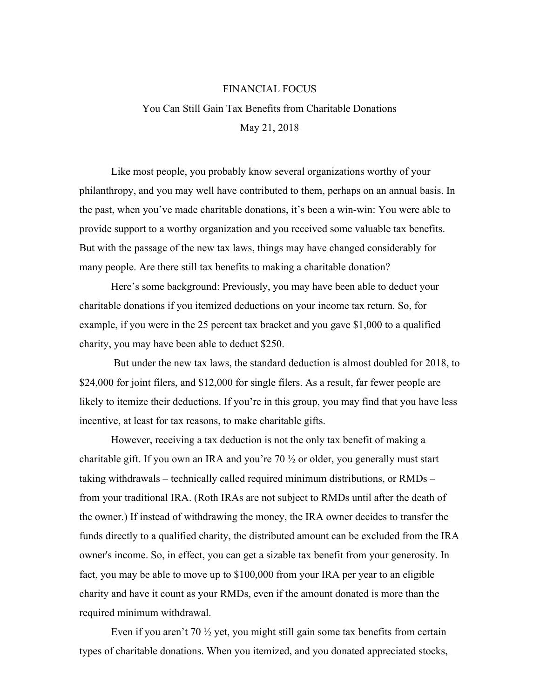## FINANCIAL FOCUS

## You Can Still Gain Tax Benefits from Charitable Donations May 21, 2018

Like most people, you probably know several organizations worthy of your philanthropy, and you may well have contributed to them, perhaps on an annual basis. In the past, when you've made charitable donations, it's been a win-win: You were able to provide support to a worthy organization and you received some valuable tax benefits. But with the passage of the new tax laws, things may have changed considerably for many people. Are there still tax benefits to making a charitable donation?

Here's some background: Previously, you may have been able to deduct your charitable donations if you itemized deductions on your income tax return. So, for example, if you were in the 25 percent tax bracket and you gave \$1,000 to a qualified charity, you may have been able to deduct \$250.

 But under the new tax laws, the standard deduction is almost doubled for 2018, to \$24,000 for joint filers, and \$12,000 for single filers. As a result, far fewer people are likely to itemize their deductions. If you're in this group, you may find that you have less incentive, at least for tax reasons, to make charitable gifts.

However, receiving a tax deduction is not the only tax benefit of making a charitable gift. If you own an IRA and you're 70  $\frac{1}{2}$  or older, you generally must start taking withdrawals – technically called required minimum distributions, or RMDs – from your traditional IRA. (Roth IRAs are not subject to RMDs until after the death of the owner.) If instead of withdrawing the money, the IRA owner decides to transfer the funds directly to a qualified charity, the distributed amount can be excluded from the IRA owner's income. So, in effect, you can get a sizable tax benefit from your generosity. In fact, you may be able to move up to \$100,000 from your IRA per year to an eligible charity and have it count as your RMDs, even if the amount donated is more than the required minimum withdrawal.

Even if you aren't 70  $\frac{1}{2}$  yet, you might still gain some tax benefits from certain types of charitable donations. When you itemized, and you donated appreciated stocks,